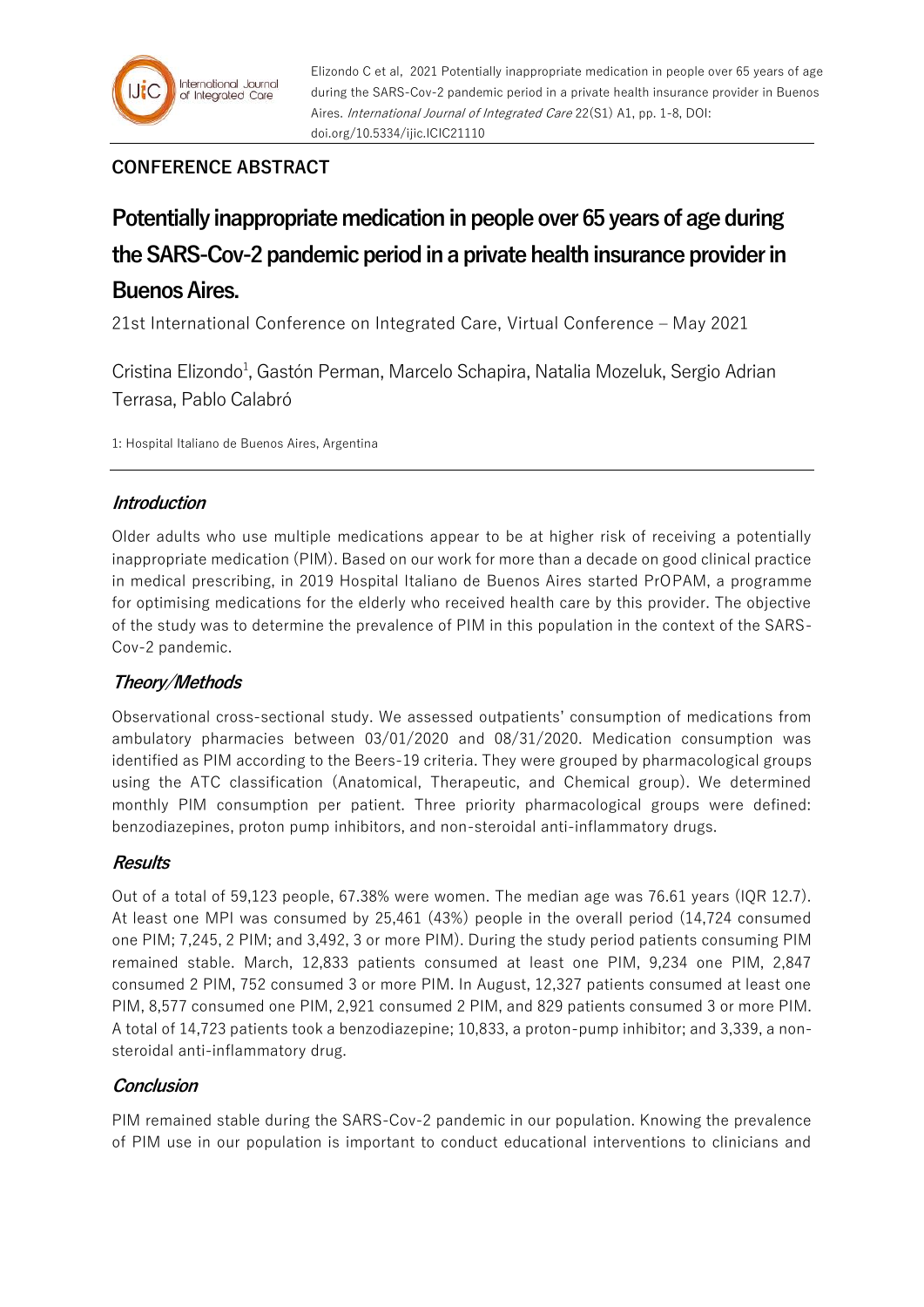# **CONFERENCE ABSTRACT**

# **Potentially inappropriate medication in people over 65 years of age during the SARS-Cov-2 pandemic period in a private health insurance provider in Buenos Aires.**

21st International Conference on Integrated Care, Virtual Conference – May 2021

Cristina Elizondo<sup>1</sup>, Gastón Perman, Marcelo Schapira, Natalia Mozeluk, Sergio Adrian Terrasa, Pablo Calabró

1: Hospital Italiano de Buenos Aires, Argentina

## **Introduction**

Older adults who use multiple medications appear to be at higher risk of receiving a potentially inappropriate medication (PIM). Based on our work for more than a decade on good clinical practice in medical prescribing, in 2019 Hospital Italiano de Buenos Aires started PrOPAM, a programme for optimising medications for the elderly who received health care by this provider. The objective of the study was to determine the prevalence of PIM in this population in the context of the SARS-Cov-2 pandemic.

## **Theory/Methods**

Observational cross-sectional study. We assessed outpatients' consumption of medications from ambulatory pharmacies between 03/01/2020 and 08/31/2020. Medication consumption was identified as PIM according to the Beers-19 criteria. They were grouped by pharmacological groups using the ATC classification (Anatomical, Therapeutic, and Chemical group). We determined monthly PIM consumption per patient. Three priority pharmacological groups were defined: benzodiazepines, proton pump inhibitors, and non-steroidal anti-inflammatory drugs.

## **Results**

Out of a total of 59,123 people, 67.38% were women. The median age was 76.61 years (IQR 12.7). At least one MPI was consumed by 25,461 (43%) people in the overall period (14,724 consumed one PIM; 7,245, 2 PIM; and 3,492, 3 or more PIM). During the study period patients consuming PIM remained stable. March, 12,833 patients consumed at least one PIM, 9,234 one PIM, 2,847 consumed 2 PIM, 752 consumed 3 or more PIM. In August, 12,327 patients consumed at least one PIM, 8,577 consumed one PIM, 2,921 consumed 2 PIM, and 829 patients consumed 3 or more PIM. A total of 14,723 patients took a benzodiazepine; 10,833, a proton-pump inhibitor; and 3,339, a nonsteroidal anti-inflammatory drug.

## **Conclusion**

PIM remained stable during the SARS-Cov-2 pandemic in our population. Knowing the prevalence of PIM use in our population is important to conduct educational interventions to clinicians and